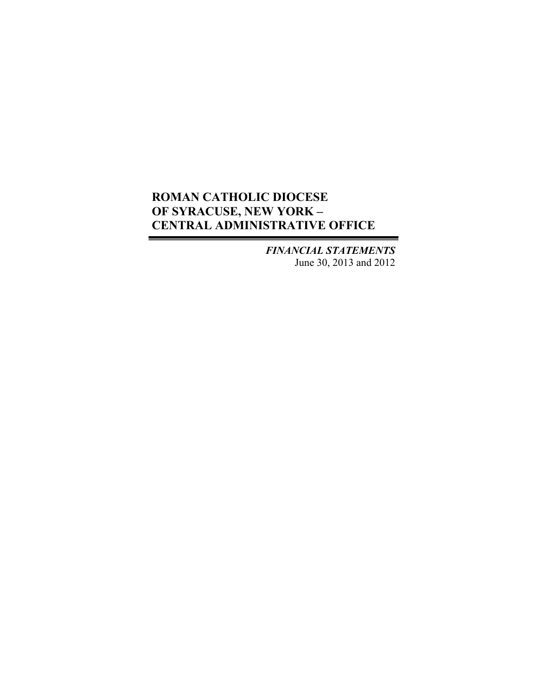*FINANCIAL STATEMENTS* June 30, 2013 and 2012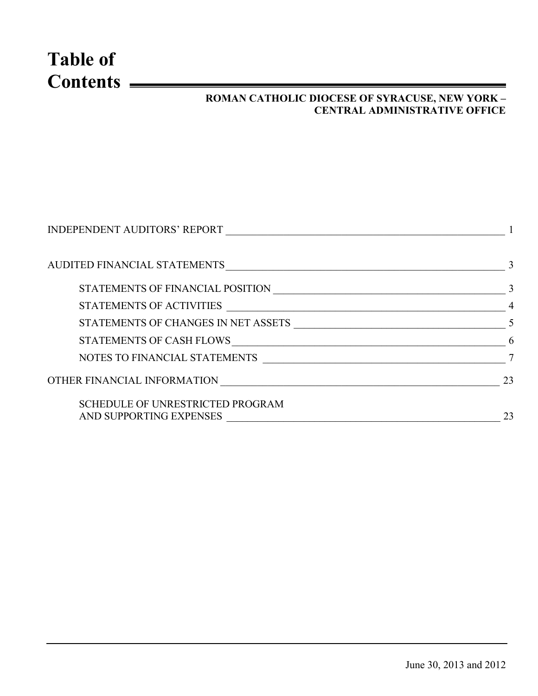# **Table of Contents**

## **ROMAN CATHOLIC DIOCESE OF SYRACUSE, NEW YORK – CENTRAL ADMINISTRATIVE OFFICE**

| INDEPENDENT AUDITORS' REPORT                                                                                                                                                                                                   |    |
|--------------------------------------------------------------------------------------------------------------------------------------------------------------------------------------------------------------------------------|----|
| AUDITED FINANCIAL STATEMENTS POSTAGE AND THE CONSTRUCTION OF THE CONSTRUCTION OF THE CONSTRUCTION OF THE CONSTRUCTION OF THE CONSTRUCTION OF THE CONSTRUCTION OF THE CONSTRUCTION OF THE CONSTRUCTION OF THE CONSTRUCTION OF T |    |
| STATEMENTS OF FINANCIAL POSITION                                                                                                                                                                                               |    |
| STATEMENTS OF ACTIVITIES                                                                                                                                                                                                       |    |
| STATEMENTS OF CHANGES IN NET ASSETS                                                                                                                                                                                            |    |
| <b>STATEMENTS OF CASH FLOWS</b><br><u> 1989 - Johann John Harry Harry Harry Harry Harry Harry Harry Harry Harry Harry Harry Harry Harry Harry Harry H</u>                                                                      | 6  |
| NOTES TO FINANCIAL STATEMENTS<br><u> 1980 - Johann Barn, mars eta bainar eta bainar eta baina eta baina eta baina eta baina eta baina eta baina e</u>                                                                          | 7  |
| OTHER FINANCIAL INFORMATION                                                                                                                                                                                                    | 23 |
| <b>SCHEDULE OF UNRESTRICTED PROGRAM</b><br>AND SUPPORTING EXPENSES                                                                                                                                                             | 23 |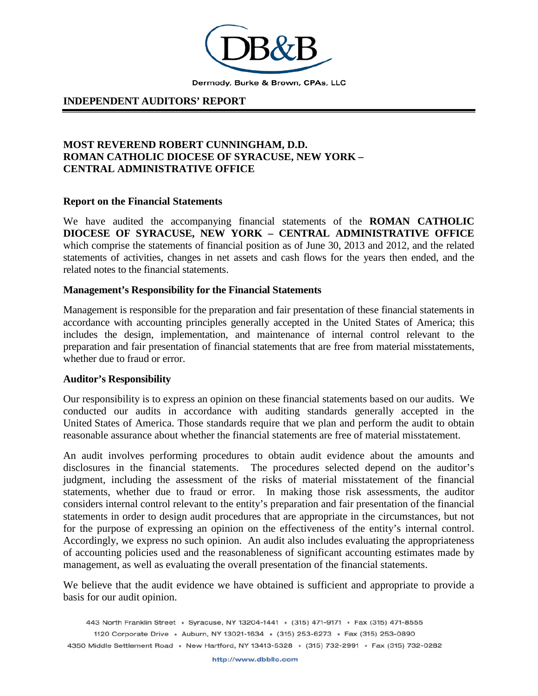

#### **INDEPENDENT AUDITORS' REPORT**

#### **MOST REVEREND ROBERT CUNNINGHAM, D.D. ROMAN CATHOLIC DIOCESE OF SYRACUSE, NEW YORK – CENTRAL ADMINISTRATIVE OFFICE**

#### **Report on the Financial Statements**

We have audited the accompanying financial statements of the **ROMAN CATHOLIC DIOCESE OF SYRACUSE, NEW YORK – CENTRAL ADMINISTRATIVE OFFICE** which comprise the statements of financial position as of June 30, 2013 and 2012, and the related statements of activities, changes in net assets and cash flows for the years then ended, and the related notes to the financial statements.

#### **Management's Responsibility for the Financial Statements**

Management is responsible for the preparation and fair presentation of these financial statements in accordance with accounting principles generally accepted in the United States of America; this includes the design, implementation, and maintenance of internal control relevant to the preparation and fair presentation of financial statements that are free from material misstatements, whether due to fraud or error.

#### **Auditor's Responsibility**

Our responsibility is to express an opinion on these financial statements based on our audits. We conducted our audits in accordance with auditing standards generally accepted in the United States of America. Those standards require that we plan and perform the audit to obtain reasonable assurance about whether the financial statements are free of material misstatement.

An audit involves performing procedures to obtain audit evidence about the amounts and disclosures in the financial statements. The procedures selected depend on the auditor's judgment, including the assessment of the risks of material misstatement of the financial statements, whether due to fraud or error. In making those risk assessments, the auditor considers internal control relevant to the entity's preparation and fair presentation of the financial statements in order to design audit procedures that are appropriate in the circumstances, but not for the purpose of expressing an opinion on the effectiveness of the entity's internal control. Accordingly, we express no such opinion. An audit also includes evaluating the appropriateness of accounting policies used and the reasonableness of significant accounting estimates made by management, as well as evaluating the overall presentation of the financial statements.

We believe that the audit evidence we have obtained is sufficient and appropriate to provide a basis for our audit opinion.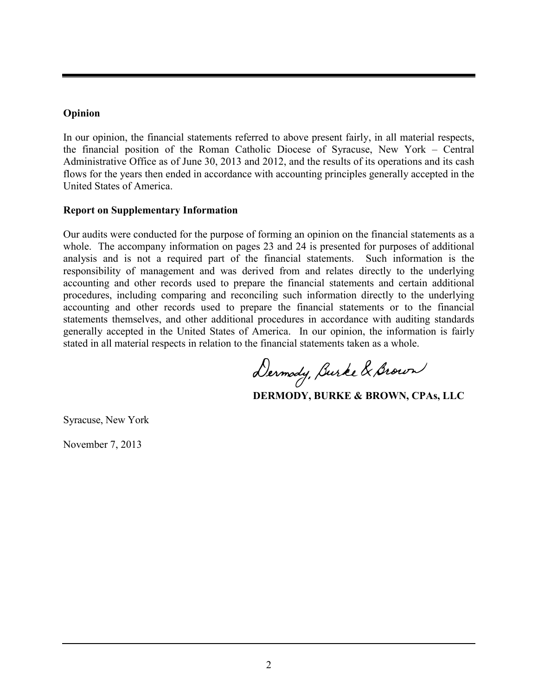#### **Opinion**

In our opinion, the financial statements referred to above present fairly, in all material respects, the financial position of the Roman Catholic Diocese of Syracuse, New York – Central Administrative Office as of June 30, 2013 and 2012, and the results of its operations and its cash flows for the years then ended in accordance with accounting principles generally accepted in the United States of America.

#### **Report on Supplementary Information**

Our audits were conducted for the purpose of forming an opinion on the financial statements as a whole. The accompany information on pages 23 and 24 is presented for purposes of additional analysis and is not a required part of the financial statements. Such information is the responsibility of management and was derived from and relates directly to the underlying accounting and other records used to prepare the financial statements and certain additional procedures, including comparing and reconciling such information directly to the underlying accounting and other records used to prepare the financial statements or to the financial statements themselves, and other additional procedures in accordance with auditing standards generally accepted in the United States of America. In our opinion, the information is fairly stated in all material respects in relation to the financial statements taken as a whole.

Dermody, Burke & Brown

**DERMODY, BURKE & BROWN, CPAs, LLC**

Syracuse, New York

November 7, 2013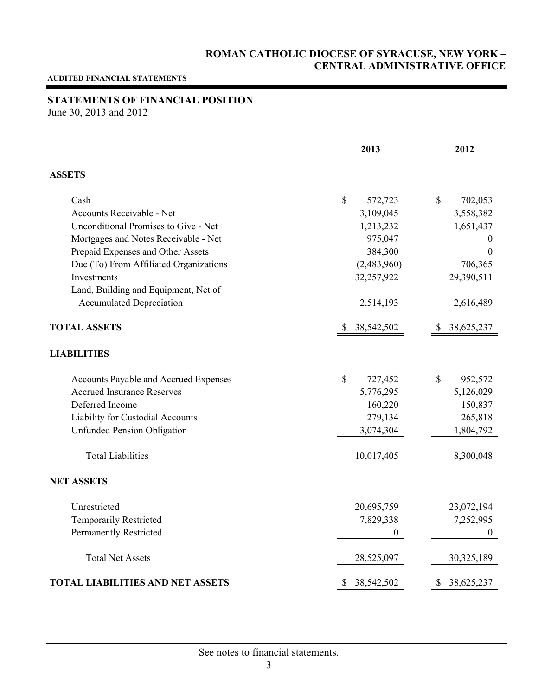#### **AUDITED FINANCIAL STATEMENTS**

## **STATEMENTS OF FINANCIAL POSITION**

June 30, 2013 and 2012

|                                             | 2013                     | 2012             |
|---------------------------------------------|--------------------------|------------------|
| <b>ASSETS</b>                               |                          |                  |
| Cash                                        | $\mathcal{S}$<br>572,723 | \$<br>702,053    |
| Accounts Receivable - Net                   | 3,109,045                | 3,558,382        |
| <b>Unconditional Promises to Give - Net</b> | 1,213,232                | 1,651,437        |
| Mortgages and Notes Receivable - Net        | 975,047                  | $\boldsymbol{0}$ |
| Prepaid Expenses and Other Assets           | 384,300                  | $\boldsymbol{0}$ |
| Due (To) From Affiliated Organizations      | (2,483,960)              | 706,365          |
| Investments                                 | 32,257,922               | 29,390,511       |
| Land, Building and Equipment, Net of        |                          |                  |
| <b>Accumulated Depreciation</b>             | 2,514,193                | 2,616,489        |
| <b>TOTAL ASSETS</b>                         | 38,542,502<br>S          | 38,625,237       |
| <b>LIABILITIES</b>                          |                          |                  |
| Accounts Payable and Accrued Expenses       | \$<br>727,452            | \$<br>952,572    |
| <b>Accrued Insurance Reserves</b>           | 5,776,295                | 5,126,029        |
| Deferred Income                             | 160,220                  | 150,837          |
| Liability for Custodial Accounts            | 279,134                  | 265,818          |
| <b>Unfunded Pension Obligation</b>          | 3,074,304                | 1,804,792        |
| <b>Total Liabilities</b>                    | 10,017,405               | 8,300,048        |
| <b>NET ASSETS</b>                           |                          |                  |
| Unrestricted                                | 20,695,759               | 23,072,194       |
| Temporarily Restricted                      | 7,829,338                | 7,252,995        |
| <b>Permanently Restricted</b>               | $\theta$                 | $\boldsymbol{0}$ |
| <b>Total Net Assets</b>                     | 28,525,097               | 30,325,189       |
| <b>TOTAL LIABILITIES AND NET ASSETS</b>     | 38,542,502<br>\$         | 38,625,237<br>\$ |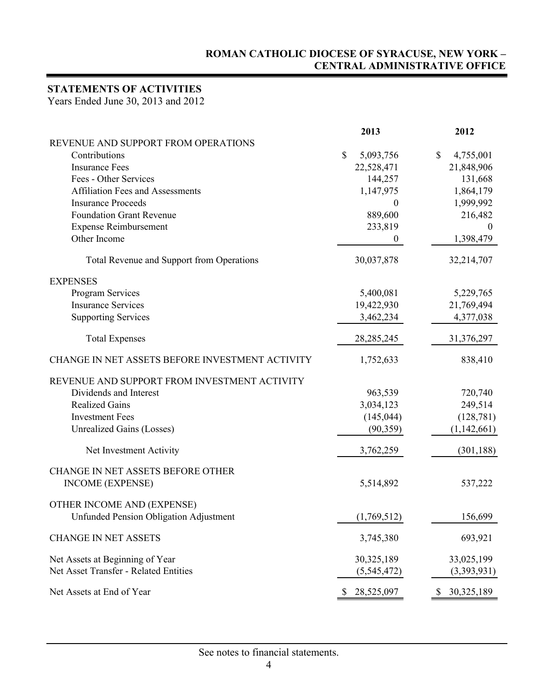## **STATEMENTS OF ACTIVITIES**

Years Ended June 30, 2013 and 2012

|                                                                     | 2013                      | 2012            |
|---------------------------------------------------------------------|---------------------------|-----------------|
| REVENUE AND SUPPORT FROM OPERATIONS                                 |                           |                 |
| Contributions                                                       | $\mathbb{S}$<br>5,093,756 | 4,755,001<br>\$ |
| <b>Insurance Fees</b>                                               | 22,528,471                | 21,848,906      |
| Fees - Other Services                                               | 144,257                   | 131,668         |
| Affiliation Fees and Assessments                                    | 1,147,975                 | 1,864,179       |
| <b>Insurance Proceeds</b>                                           | $\boldsymbol{0}$          | 1,999,992       |
| <b>Foundation Grant Revenue</b>                                     | 889,600                   | 216,482         |
| <b>Expense Reimbursement</b>                                        | 233,819                   | $\theta$        |
| Other Income                                                        | $\mathbf{0}$              | 1,398,479       |
| Total Revenue and Support from Operations                           | 30,037,878                | 32,214,707      |
| <b>EXPENSES</b>                                                     |                           |                 |
| Program Services                                                    | 5,400,081                 | 5,229,765       |
| <b>Insurance Services</b>                                           | 19,422,930                | 21,769,494      |
| <b>Supporting Services</b>                                          | 3,462,234                 | 4,377,038       |
| <b>Total Expenses</b>                                               | 28, 285, 245              | 31,376,297      |
| CHANGE IN NET ASSETS BEFORE INVESTMENT ACTIVITY                     | 1,752,633                 | 838,410         |
| REVENUE AND SUPPORT FROM INVESTMENT ACTIVITY                        |                           |                 |
| Dividends and Interest                                              | 963,539                   | 720,740         |
| <b>Realized Gains</b>                                               | 3,034,123                 | 249,514         |
| <b>Investment Fees</b>                                              | (145, 044)                | (128, 781)      |
| <b>Unrealized Gains (Losses)</b>                                    | (90, 359)                 | (1,142,661)     |
| Net Investment Activity                                             | 3,762,259                 | (301, 188)      |
| <b>CHANGE IN NET ASSETS BEFORE OTHER</b><br><b>INCOME (EXPENSE)</b> | 5,514,892                 | 537,222         |
| OTHER INCOME AND (EXPENSE)                                          |                           |                 |
| <b>Unfunded Pension Obligation Adjustment</b>                       | (1,769,512)               | 156,699         |
| <b>CHANGE IN NET ASSETS</b>                                         | 3,745,380                 | 693,921         |
| Net Assets at Beginning of Year                                     | 30,325,189                | 33,025,199      |
| Net Asset Transfer - Related Entities                               | (5, 545, 472)             | (3,393,931)     |
| Net Assets at End of Year                                           | 28,525,097<br>S.          | 30,325,189<br>S |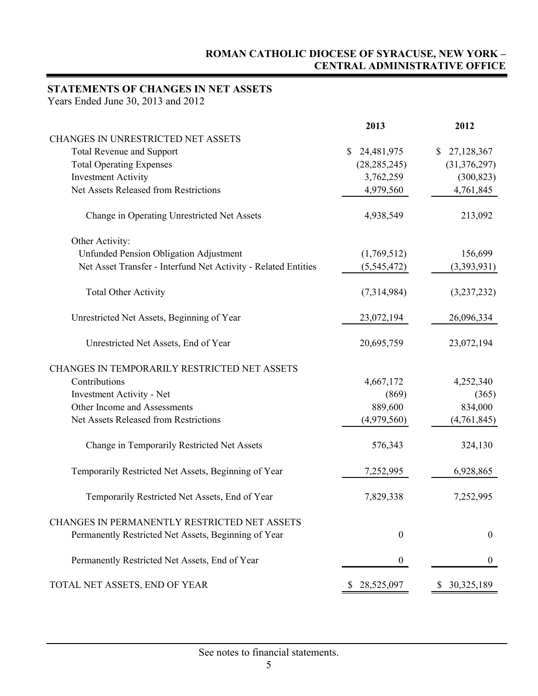## **STATEMENTS OF CHANGES IN NET ASSETS**

Years Ended June 30, 2013 and 2012

|                                                                | 2013                       | 2012                         |
|----------------------------------------------------------------|----------------------------|------------------------------|
| <b>CHANGES IN UNRESTRICTED NET ASSETS</b>                      |                            |                              |
| <b>Total Revenue and Support</b>                               | 24,481,975<br>$\mathbb{S}$ | 27,128,367<br>$\mathbb{S}^-$ |
| <b>Total Operating Expenses</b>                                | (28, 285, 245)             | (31, 376, 297)               |
| <b>Investment Activity</b>                                     | 3,762,259                  | (300, 823)                   |
| Net Assets Released from Restrictions                          | 4,979,560                  | 4,761,845                    |
| Change in Operating Unrestricted Net Assets                    | 4,938,549                  | 213,092                      |
| Other Activity:                                                |                            |                              |
| <b>Unfunded Pension Obligation Adjustment</b>                  | (1,769,512)                | 156,699                      |
| Net Asset Transfer - Interfund Net Activity - Related Entities | (5, 545, 472)              | (3,393,931)                  |
| <b>Total Other Activity</b>                                    | (7,314,984)                | (3,237,232)                  |
| Unrestricted Net Assets, Beginning of Year                     | 23,072,194                 | 26,096,334                   |
| Unrestricted Net Assets, End of Year                           | 20,695,759                 | 23,072,194                   |
| CHANGES IN TEMPORARILY RESTRICTED NET ASSETS                   |                            |                              |
| Contributions                                                  | 4,667,172                  | 4,252,340                    |
| <b>Investment Activity - Net</b>                               | (869)                      | (365)                        |
| Other Income and Assessments                                   | 889,600                    | 834,000                      |
| Net Assets Released from Restrictions                          | (4,979,560)                | (4,761,845)                  |
| Change in Temporarily Restricted Net Assets                    | 576,343                    | 324,130                      |
| Temporarily Restricted Net Assets, Beginning of Year           | 7,252,995                  | 6,928,865                    |
| Temporarily Restricted Net Assets, End of Year                 | 7,829,338                  | 7,252,995                    |
| CHANGES IN PERMANENTLY RESTRICTED NET ASSETS                   |                            |                              |
| Permanently Restricted Net Assets, Beginning of Year           | $\boldsymbol{0}$           | $\boldsymbol{0}$             |
| Permanently Restricted Net Assets, End of Year                 | $\boldsymbol{0}$           | $\boldsymbol{0}$             |
| TOTAL NET ASSETS, END OF YEAR                                  | \$ 28,525,097              | 30,325,189<br>\$             |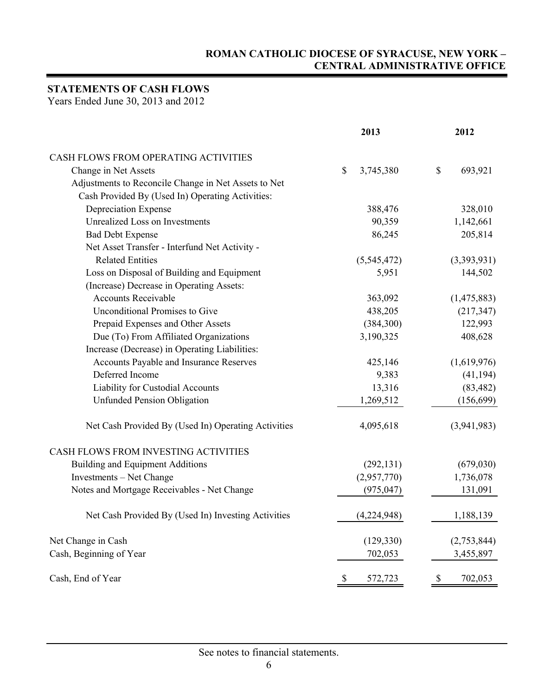## **STATEMENTS OF CASH FLOWS**

Years Ended June 30, 2013 and 2012

|                                                      | 2013            | 2012          |
|------------------------------------------------------|-----------------|---------------|
| CASH FLOWS FROM OPERATING ACTIVITIES                 |                 |               |
| Change in Net Assets                                 | \$<br>3,745,380 | \$<br>693,921 |
| Adjustments to Reconcile Change in Net Assets to Net |                 |               |
| Cash Provided By (Used In) Operating Activities:     |                 |               |
| Depreciation Expense                                 | 388,476         | 328,010       |
| <b>Unrealized Loss on Investments</b>                | 90,359          | 1,142,661     |
| <b>Bad Debt Expense</b>                              | 86,245          | 205,814       |
| Net Asset Transfer - Interfund Net Activity -        |                 |               |
| <b>Related Entities</b>                              | (5,545,472)     | (3,393,931)   |
| Loss on Disposal of Building and Equipment           | 5,951           | 144,502       |
| (Increase) Decrease in Operating Assets:             |                 |               |
| <b>Accounts Receivable</b>                           | 363,092         | (1,475,883)   |
| <b>Unconditional Promises to Give</b>                | 438,205         | (217, 347)    |
| Prepaid Expenses and Other Assets                    | (384, 300)      | 122,993       |
| Due (To) From Affiliated Organizations               | 3,190,325       | 408,628       |
| Increase (Decrease) in Operating Liabilities:        |                 |               |
| Accounts Payable and Insurance Reserves              | 425,146         | (1,619,976)   |
| Deferred Income                                      | 9,383           | (41, 194)     |
| Liability for Custodial Accounts                     | 13,316          | (83, 482)     |
| <b>Unfunded Pension Obligation</b>                   | 1,269,512       | (156, 699)    |
| Net Cash Provided By (Used In) Operating Activities  | 4,095,618       | (3,941,983)   |
| CASH FLOWS FROM INVESTING ACTIVITIES                 |                 |               |
| <b>Building and Equipment Additions</b>              | (292, 131)      | (679,030)     |
| Investments - Net Change                             | (2,957,770)     | 1,736,078     |
| Notes and Mortgage Receivables - Net Change          | (975, 047)      | 131,091       |
| Net Cash Provided By (Used In) Investing Activities  | (4,224,948)     | 1,188,139     |
| Net Change in Cash                                   | (129, 330)      | (2,753,844)   |
| Cash, Beginning of Year                              | 702,053         | 3,455,897     |
| Cash, End of Year                                    | 572,723<br>\$   | 702,053       |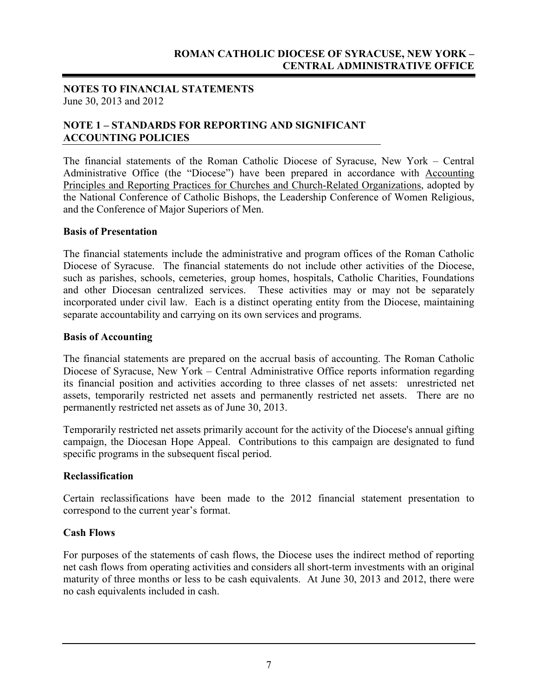#### **NOTES TO FINANCIAL STATEMENTS** June 30, 2013 and 2012

### **NOTE 1 – STANDARDS FOR REPORTING AND SIGNIFICANT ACCOUNTING POLICIES**

The financial statements of the Roman Catholic Diocese of Syracuse, New York – Central Administrative Office (the "Diocese") have been prepared in accordance with Accounting Principles and Reporting Practices for Churches and Church-Related Organizations, adopted by the National Conference of Catholic Bishops, the Leadership Conference of Women Religious, and the Conference of Major Superiors of Men.

#### **Basis of Presentation**

The financial statements include the administrative and program offices of the Roman Catholic Diocese of Syracuse. The financial statements do not include other activities of the Diocese, such as parishes, schools, cemeteries, group homes, hospitals, Catholic Charities, Foundations and other Diocesan centralized services. These activities may or may not be separately incorporated under civil law. Each is a distinct operating entity from the Diocese, maintaining separate accountability and carrying on its own services and programs.

### **Basis of Accounting**

The financial statements are prepared on the accrual basis of accounting. The Roman Catholic Diocese of Syracuse, New York – Central Administrative Office reports information regarding its financial position and activities according to three classes of net assets: unrestricted net assets, temporarily restricted net assets and permanently restricted net assets. There are no permanently restricted net assets as of June 30, 2013.

Temporarily restricted net assets primarily account for the activity of the Diocese's annual gifting campaign, the Diocesan Hope Appeal. Contributions to this campaign are designated to fund specific programs in the subsequent fiscal period.

## **Reclassification**

Certain reclassifications have been made to the 2012 financial statement presentation to correspond to the current year's format.

## **Cash Flows**

For purposes of the statements of cash flows, the Diocese uses the indirect method of reporting net cash flows from operating activities and considers all short-term investments with an original maturity of three months or less to be cash equivalents. At June 30, 2013 and 2012, there were no cash equivalents included in cash.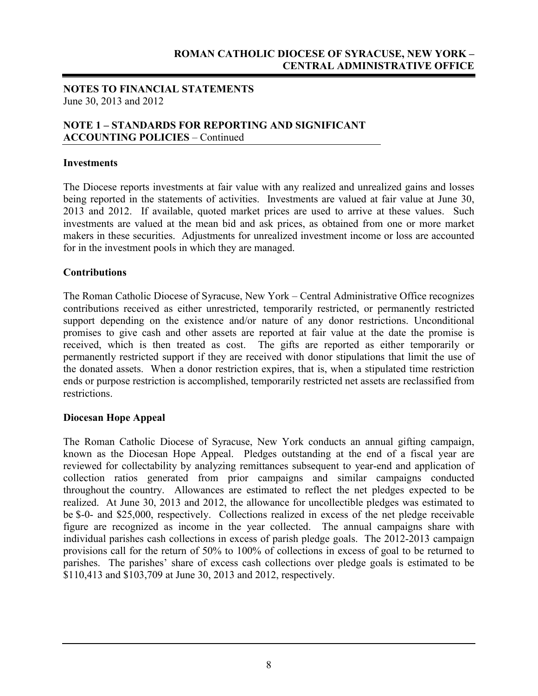#### **NOTES TO FINANCIAL STATEMENTS** June 30, 2013 and 2012

#### **NOTE 1 – STANDARDS FOR REPORTING AND SIGNIFICANT ACCOUNTING POLICIES** – Continued

#### **Investments**

The Diocese reports investments at fair value with any realized and unrealized gains and losses being reported in the statements of activities. Investments are valued at fair value at June 30, 2013 and 2012. If available, quoted market prices are used to arrive at these values. Such investments are valued at the mean bid and ask prices, as obtained from one or more market makers in these securities. Adjustments for unrealized investment income or loss are accounted for in the investment pools in which they are managed.

#### **Contributions**

The Roman Catholic Diocese of Syracuse, New York – Central Administrative Office recognizes contributions received as either unrestricted, temporarily restricted, or permanently restricted support depending on the existence and/or nature of any donor restrictions. Unconditional promises to give cash and other assets are reported at fair value at the date the promise is received, which is then treated as cost. The gifts are reported as either temporarily or permanently restricted support if they are received with donor stipulations that limit the use of the donated assets. When a donor restriction expires, that is, when a stipulated time restriction ends or purpose restriction is accomplished, temporarily restricted net assets are reclassified from restrictions.

#### **Diocesan Hope Appeal**

The Roman Catholic Diocese of Syracuse, New York conducts an annual gifting campaign, known as the Diocesan Hope Appeal. Pledges outstanding at the end of a fiscal year are reviewed for collectability by analyzing remittances subsequent to year-end and application of collection ratios generated from prior campaigns and similar campaigns conducted throughout the country. Allowances are estimated to reflect the net pledges expected to be realized. At June 30, 2013 and 2012, the allowance for uncollectible pledges was estimated to be \$-0- and \$25,000, respectively. Collections realized in excess of the net pledge receivable figure are recognized as income in the year collected. The annual campaigns share with individual parishes cash collections in excess of parish pledge goals. The 2012-2013 campaign provisions call for the return of 50% to 100% of collections in excess of goal to be returned to parishes. The parishes' share of excess cash collections over pledge goals is estimated to be \$110,413 and \$103,709 at June 30, 2013 and 2012, respectively.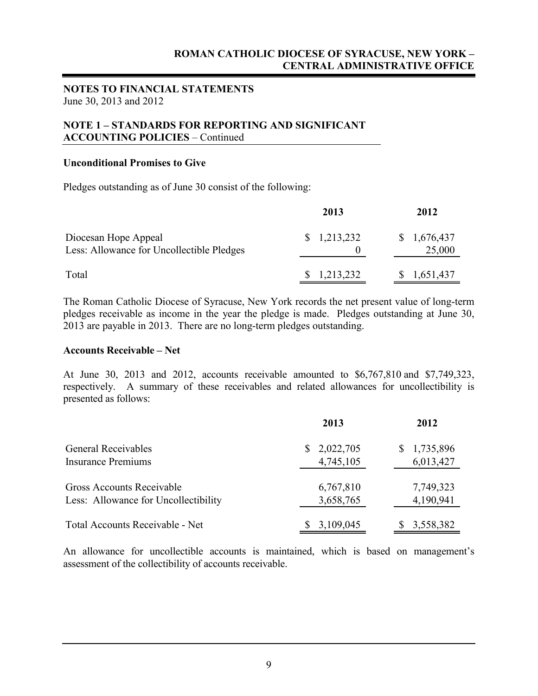#### **NOTES TO FINANCIAL STATEMENTS** June 30, 2013 and 2012

#### **NOTE 1 – STANDARDS FOR REPORTING AND SIGNIFICANT ACCOUNTING POLICIES** – Continued

#### **Unconditional Promises to Give**

Pledges outstanding as of June 30 consist of the following:

|                                                                   | 2013        | 2012                  |
|-------------------------------------------------------------------|-------------|-----------------------|
| Diocesan Hope Appeal<br>Less: Allowance for Uncollectible Pledges | \$1,213,232 | \$1,676,437<br>25,000 |
| Total                                                             | 1,213,232   | 1,651,437             |

The Roman Catholic Diocese of Syracuse, New York records the net present value of long-term pledges receivable as income in the year the pledge is made. Pledges outstanding at June 30, 2013 are payable in 2013. There are no long-term pledges outstanding.

#### **Accounts Receivable – Net**

At June 30, 2013 and 2012, accounts receivable amounted to \$6,767,810 and \$7,749,323, respectively. A summary of these receivables and related allowances for uncollectibility is presented as follows:

|                                      | 2013            | 2012        |
|--------------------------------------|-----------------|-------------|
| <b>General Receivables</b>           | 2,022,705<br>\$ | \$1,735,896 |
| <b>Insurance Premiums</b>            | 4,745,105       | 6,013,427   |
|                                      |                 |             |
| Gross Accounts Receivable            | 6,767,810       | 7,749,323   |
| Less: Allowance for Uncollectibility | 3,658,765       | 4,190,941   |
|                                      |                 |             |
| Total Accounts Receivable - Net      | 3,109,045       | 3,558,382   |

An allowance for uncollectible accounts is maintained, which is based on management's assessment of the collectibility of accounts receivable.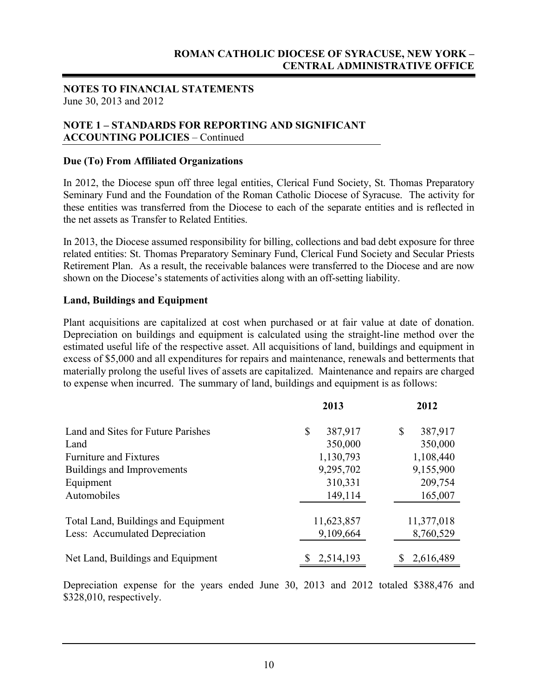#### **NOTES TO FINANCIAL STATEMENTS** June 30, 2013 and 2012

#### **NOTE 1 – STANDARDS FOR REPORTING AND SIGNIFICANT ACCOUNTING POLICIES** – Continued

#### **Due (To) From Affiliated Organizations**

In 2012, the Diocese spun off three legal entities, Clerical Fund Society, St. Thomas Preparatory Seminary Fund and the Foundation of the Roman Catholic Diocese of Syracuse. The activity for these entities was transferred from the Diocese to each of the separate entities and is reflected in the net assets as Transfer to Related Entities.

In 2013, the Diocese assumed responsibility for billing, collections and bad debt exposure for three related entities: St. Thomas Preparatory Seminary Fund, Clerical Fund Society and Secular Priests Retirement Plan. As a result, the receivable balances were transferred to the Diocese and are now shown on the Diocese's statements of activities along with an off-setting liability.

#### **Land, Buildings and Equipment**

Plant acquisitions are capitalized at cost when purchased or at fair value at date of donation. Depreciation on buildings and equipment is calculated using the straight-line method over the estimated useful life of the respective asset. All acquisitions of land, buildings and equipment in excess of \$5,000 and all expenditures for repairs and maintenance, renewals and betterments that materially prolong the useful lives of assets are capitalized. Maintenance and repairs are charged to expense when incurred. The summary of land, buildings and equipment is as follows:

|                                                                       | 2013                    | 2012                    |
|-----------------------------------------------------------------------|-------------------------|-------------------------|
| Land and Sites for Future Parishes                                    | \$<br>387,917           | 387,917<br>\$           |
| Land                                                                  | 350,000                 | 350,000                 |
| <b>Furniture and Fixtures</b>                                         | 1,130,793               | 1,108,440               |
| Buildings and Improvements                                            | 9,295,702               | 9,155,900               |
| Equipment                                                             | 310,331                 | 209,754                 |
| Automobiles                                                           | 149,114                 | 165,007                 |
| Total Land, Buildings and Equipment<br>Less: Accumulated Depreciation | 11,623,857<br>9,109,664 | 11,377,018<br>8,760,529 |
| Net Land, Buildings and Equipment                                     | 2,514,193               | 2,616,489               |

Depreciation expense for the years ended June 30, 2013 and 2012 totaled \$388,476 and \$328,010, respectively.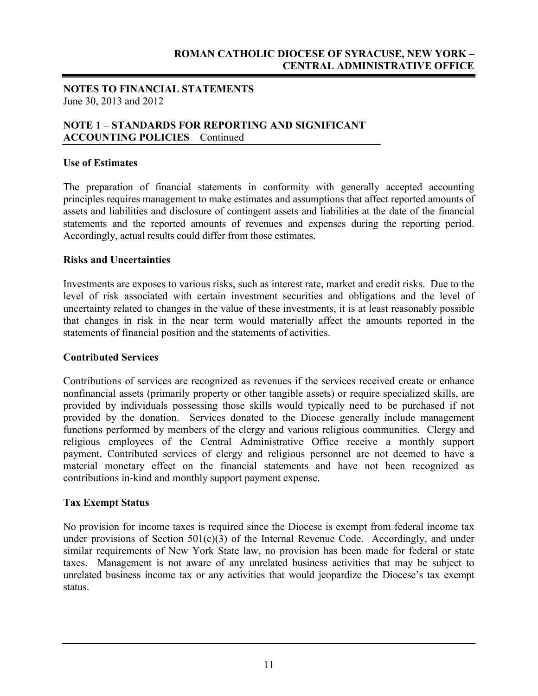#### **NOTES TO FINANCIAL STATEMENTS** June 30, 2013 and 2012

#### **NOTE 1 – STANDARDS FOR REPORTING AND SIGNIFICANT ACCOUNTING POLICIES** – Continued

#### **Use of Estimates**

The preparation of financial statements in conformity with generally accepted accounting principles requires management to make estimates and assumptions that affect reported amounts of assets and liabilities and disclosure of contingent assets and liabilities at the date of the financial statements and the reported amounts of revenues and expenses during the reporting period. Accordingly, actual results could differ from those estimates.

#### **Risks and Uncertainties**

Investments are exposes to various risks, such as interest rate, market and credit risks. Due to the level of risk associated with certain investment securities and obligations and the level of uncertainty related to changes in the value of these investments, it is at least reasonably possible that changes in risk in the near term would materially affect the amounts reported in the statements of financial position and the statements of activities.

#### **Contributed Services**

Contributions of services are recognized as revenues if the services received create or enhance nonfinancial assets (primarily property or other tangible assets) or require specialized skills, are provided by individuals possessing those skills would typically need to be purchased if not provided by the donation. Services donated to the Diocese generally include management functions performed by members of the clergy and various religious communities. Clergy and religious employees of the Central Administrative Office receive a monthly support payment. Contributed services of clergy and religious personnel are not deemed to have a material monetary effect on the financial statements and have not been recognized as contributions in-kind and monthly support payment expense.

#### **Tax Exempt Status**

No provision for income taxes is required since the Diocese is exempt from federal income tax under provisions of Section  $501(c)(3)$  of the Internal Revenue Code. Accordingly, and under similar requirements of New York State law, no provision has been made for federal or state taxes. Management is not aware of any unrelated business activities that may be subject to unrelated business income tax or any activities that would jeopardize the Diocese's tax exempt status.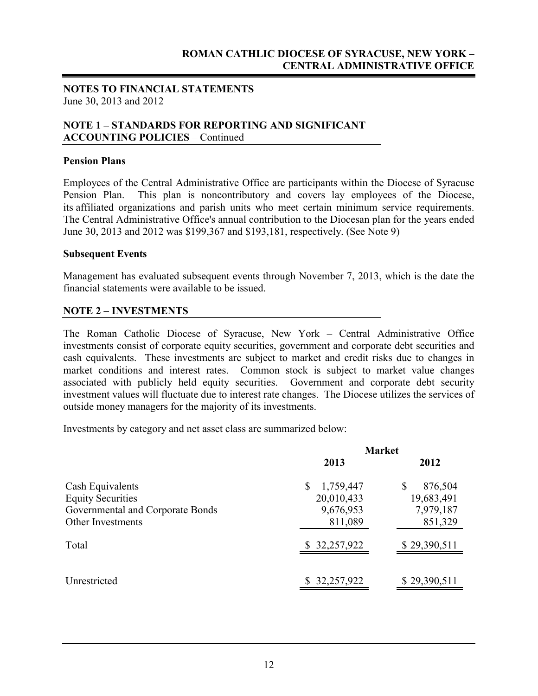#### **NOTES TO FINANCIAL STATEMENTS** June 30, 2013 and 2012

#### **NOTE 1 – STANDARDS FOR REPORTING AND SIGNIFICANT ACCOUNTING POLICIES** – Continued

#### **Pension Plans**

Employees of the Central Administrative Office are participants within the Diocese of Syracuse Pension Plan. This plan is noncontributory and covers lay employees of the Diocese, its affiliated organizations and parish units who meet certain minimum service requirements. The Central Administrative Office's annual contribution to the Diocesan plan for the years ended June 30, 2013 and 2012 was \$199,367 and \$193,181, respectively. (See Note 9)

#### **Subsequent Events**

Management has evaluated subsequent events through November 7, 2013, which is the date the financial statements were available to be issued.

#### **NOTE 2 – INVESTMENTS**

The Roman Catholic Diocese of Syracuse, New York – Central Administrative Office investments consist of corporate equity securities, government and corporate debt securities and cash equivalents. These investments are subject to market and credit risks due to changes in market conditions and interest rates. Common stock is subject to market value changes associated with publicly held equity securities. Government and corporate debt security investment values will fluctuate due to interest rate changes. The Diocese utilizes the services of outside money managers for the majority of its investments.

Investments by category and net asset class are summarized below:

|                                                       | <b>Market</b>                 |                             |
|-------------------------------------------------------|-------------------------------|-----------------------------|
|                                                       | 2013                          | 2012                        |
| Cash Equivalents<br><b>Equity Securities</b>          | 1,759,447<br>\$<br>20,010,433 | 876,504<br>\$<br>19,683,491 |
| Governmental and Corporate Bonds<br>Other Investments | 9,676,953<br>811,089          | 7,979,187<br>851,329        |
| Total                                                 | \$32,257,922                  | \$29,390,511                |
| Unrestricted                                          | \$32,257,922                  | \$29,390,511                |
|                                                       |                               |                             |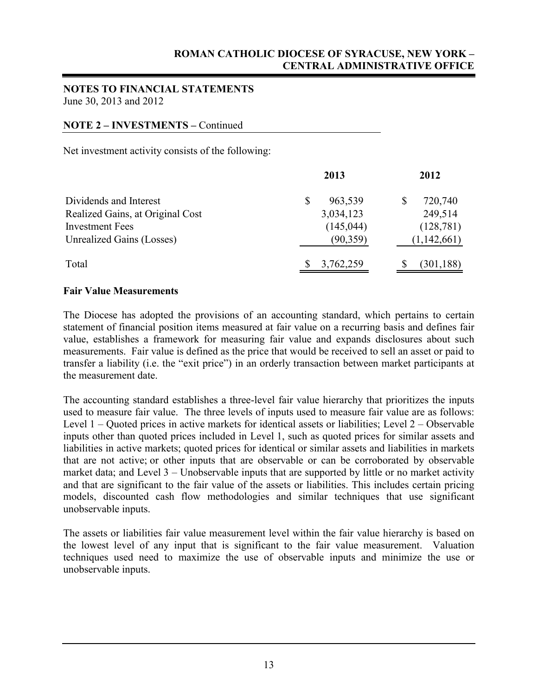#### **NOTES TO FINANCIAL STATEMENTS** June 30, 2013 and 2012

**NOTE 2 – INVESTMENTS –** Continued

Net investment activity consists of the following:

|                                  | 2013       | 2012        |
|----------------------------------|------------|-------------|
| Dividends and Interest           | 963,539    | 720,740     |
| Realized Gains, at Original Cost | 3,034,123  | 249,514     |
| <b>Investment Fees</b>           | (145, 044) | (128, 781)  |
| <b>Unrealized Gains (Losses)</b> | (90, 359)  | (1,142,661) |
| Total                            | 3,762,259  | (301, 188)  |

#### **Fair Value Measurements**

The Diocese has adopted the provisions of an accounting standard, which pertains to certain statement of financial position items measured at fair value on a recurring basis and defines fair value, establishes a framework for measuring fair value and expands disclosures about such measurements. Fair value is defined as the price that would be received to sell an asset or paid to transfer a liability (i.e. the "exit price") in an orderly transaction between market participants at the measurement date.

The accounting standard establishes a three-level fair value hierarchy that prioritizes the inputs used to measure fair value. The three levels of inputs used to measure fair value are as follows: Level 1 – Quoted prices in active markets for identical assets or liabilities; Level 2 – Observable inputs other than quoted prices included in Level 1, such as quoted prices for similar assets and liabilities in active markets; quoted prices for identical or similar assets and liabilities in markets that are not active; or other inputs that are observable or can be corroborated by observable market data; and Level 3 – Unobservable inputs that are supported by little or no market activity and that are significant to the fair value of the assets or liabilities. This includes certain pricing models, discounted cash flow methodologies and similar techniques that use significant unobservable inputs.

The assets or liabilities fair value measurement level within the fair value hierarchy is based on the lowest level of any input that is significant to the fair value measurement. Valuation techniques used need to maximize the use of observable inputs and minimize the use or unobservable inputs.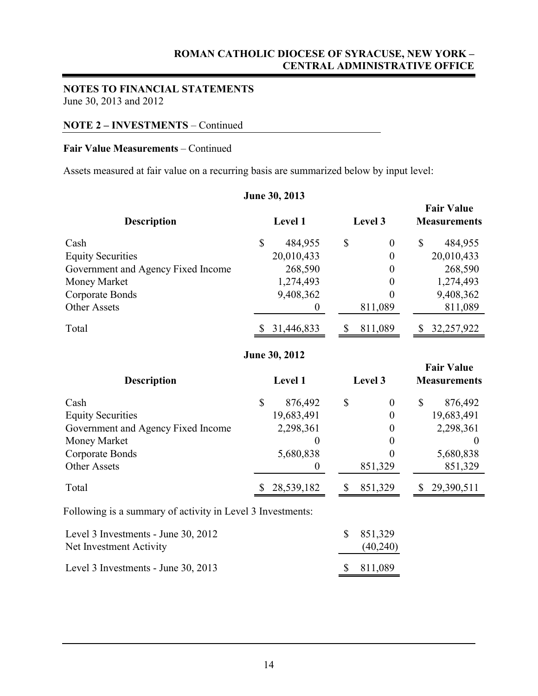## **NOTES TO FINANCIAL STATEMENTS**

June 30, 2013 and 2012

## **NOTE 2 – INVESTMENTS** – Continued

#### **Fair Value Measurements** – Continued

Assets measured at fair value on a recurring basis are summarized below by input level:

| June 30, 2013                                              |                         |                                      |                                          |
|------------------------------------------------------------|-------------------------|--------------------------------------|------------------------------------------|
| <b>Description</b>                                         | Level 1                 | Level 3                              | <b>Fair Value</b><br><b>Measurements</b> |
| Cash                                                       | $\mathbb{S}$<br>484,955 | \$<br>$\overline{0}$                 | $\mathbb{S}$<br>484,955                  |
| <b>Equity Securities</b>                                   | 20,010,433              | 0                                    | 20,010,433                               |
| Government and Agency Fixed Income                         | 268,590                 | 0                                    | 268,590                                  |
| Money Market                                               | 1,274,493               | $\boldsymbol{0}$                     | 1,274,493                                |
| Corporate Bonds                                            | 9,408,362               | $\Omega$                             | 9,408,362                                |
| <b>Other Assets</b>                                        | $\theta$                | 811,089                              | 811,089                                  |
| Total                                                      | 31,446,833              | 811,089<br>\$                        | 32,257,922                               |
|                                                            | June 30, 2012           |                                      |                                          |
|                                                            |                         |                                      | <b>Fair Value</b>                        |
| <b>Description</b>                                         | Level 1                 | Level 3                              | <b>Measurements</b>                      |
| Cash                                                       | $\mathbb{S}$<br>876,492 | \$<br>$\boldsymbol{0}$               | \$<br>876,492                            |
| <b>Equity Securities</b>                                   | 19,683,491              | $\theta$                             | 19,683,491                               |
| Government and Agency Fixed Income                         | 2,298,361               | 0                                    | 2,298,361                                |
| Money Market                                               | $\Omega$                | $\theta$                             | 0                                        |
| Corporate Bonds                                            | 5,680,838               | $\mathbf{0}$                         | 5,680,838                                |
| <b>Other Assets</b>                                        | $\Omega$                | 851,329                              | 851,329                                  |
| Total                                                      | 28,539,182              | 851,329<br>\$                        | 29,390,511                               |
| Following is a summary of activity in Level 3 Investments: |                         |                                      |                                          |
| Level 3 Investments - June 30, 2012                        |                         | \$<br>851,329                        |                                          |
| Net Investment Activity                                    |                         | (40,240)                             |                                          |
| Level 3 Investments - June 30, 2013                        |                         | 811,089<br>$\boldsymbol{\mathsf{S}}$ |                                          |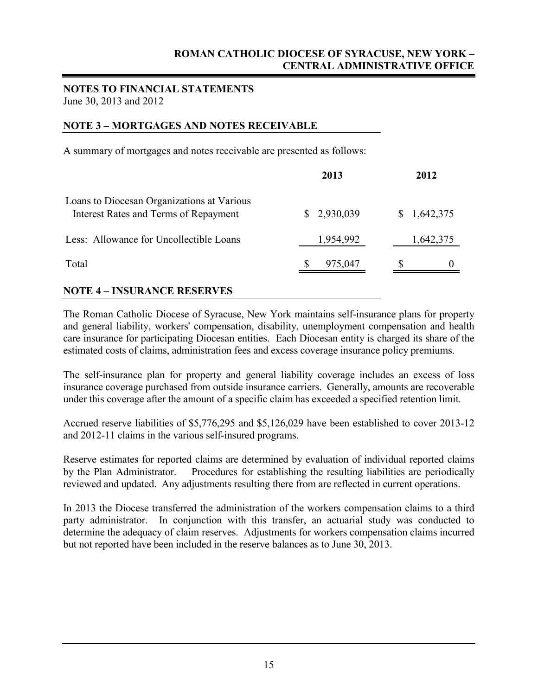#### **NOTES TO FINANCIAL STATEMENTS** June 30, 2013 and 2012

#### **NOTE 3 – MORTGAGES AND NOTES RECEIVABLE**

A summary of mortgages and notes receivable are presented as follows:

|                                                                                            | 2013        | 2012                  |
|--------------------------------------------------------------------------------------------|-------------|-----------------------|
| Loans to Diocesan Organizations at Various<br><b>Interest Rates and Terms of Repayment</b> | \$2,930,039 | $\frac{$1,642,375}{}$ |
| Less: Allowance for Uncollectible Loans                                                    | 1,954,992   | 1,642,375             |
| Total                                                                                      | 975,047     |                       |
|                                                                                            |             |                       |

#### **NOTE 4 – INSURANCE RESERVES**

The Roman Catholic Diocese of Syracuse, New York maintains self-insurance plans for property and general liability, workers' compensation, disability, unemployment compensation and health care insurance for participating Diocesan entities. Each Diocesan entity is charged its share of the estimated costs of claims, administration fees and excess coverage insurance policy premiums.

The self-insurance plan for property and general liability coverage includes an excess of loss insurance coverage purchased from outside insurance carriers. Generally, amounts are recoverable under this coverage after the amount of a specific claim has exceeded a specified retention limit.

Accrued reserve liabilities of \$5,776,295 and \$5,126,029 have been established to cover 2013-12 and 2012-11 claims in the various self-insured programs.

Reserve estimates for reported claims are determined by evaluation of individual reported claims by the Plan Administrator. Procedures for establishing the resulting liabilities are periodically reviewed and updated. Any adjustments resulting there from are reflected in current operations.

In 2013 the Diocese transferred the administration of the workers compensation claims to a third party administrator. In conjunction with this transfer, an actuarial study was conducted to determine the adequacy of claim reserves. Adjustments for workers compensation claims incurred but not reported have been included in the reserve balances as to June 30, 2013.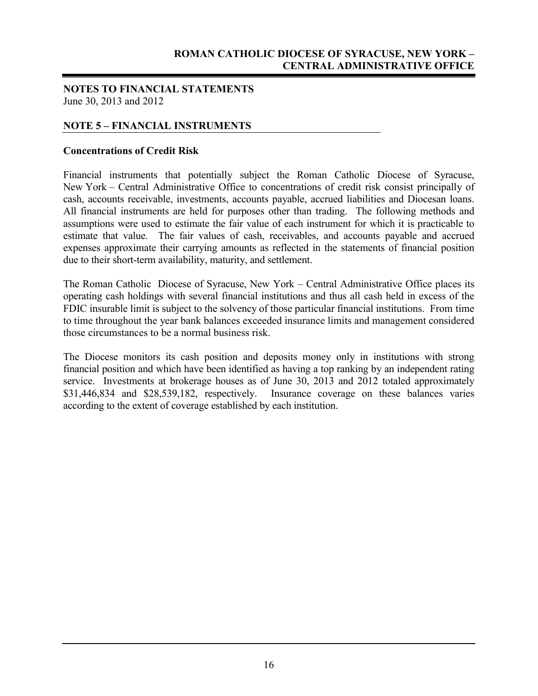#### **NOTES TO FINANCIAL STATEMENTS** June 30, 2013 and 2012

#### **NOTE 5 – FINANCIAL INSTRUMENTS**

#### **Concentrations of Credit Risk**

Financial instruments that potentially subject the Roman Catholic Diocese of Syracuse, New York – Central Administrative Office to concentrations of credit risk consist principally of cash, accounts receivable, investments, accounts payable, accrued liabilities and Diocesan loans. All financial instruments are held for purposes other than trading. The following methods and assumptions were used to estimate the fair value of each instrument for which it is practicable to estimate that value. The fair values of cash, receivables, and accounts payable and accrued expenses approximate their carrying amounts as reflected in the statements of financial position due to their short-term availability, maturity, and settlement.

The Roman Catholic Diocese of Syracuse, New York – Central Administrative Office places its operating cash holdings with several financial institutions and thus all cash held in excess of the FDIC insurable limit is subject to the solvency of those particular financial institutions. From time to time throughout the year bank balances exceeded insurance limits and management considered those circumstances to be a normal business risk.

The Diocese monitors its cash position and deposits money only in institutions with strong financial position and which have been identified as having a top ranking by an independent rating service. Investments at brokerage houses as of June 30, 2013 and 2012 totaled approximately \$31,446,834 and \$28,539,182, respectively. Insurance coverage on these balances varies according to the extent of coverage established by each institution.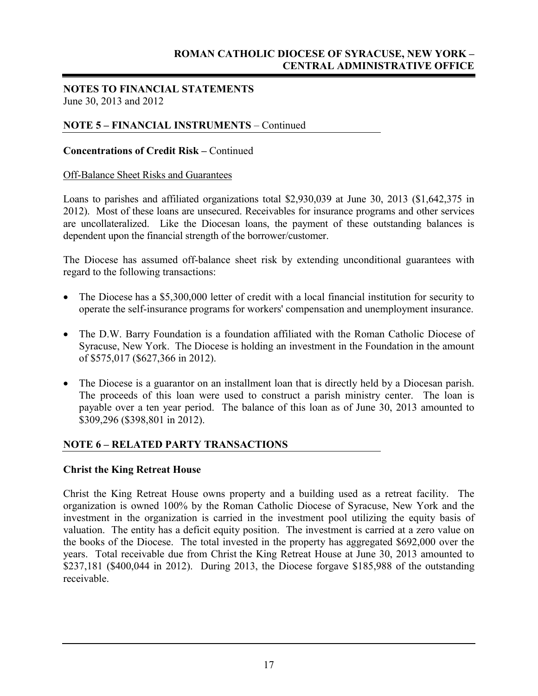#### **NOTES TO FINANCIAL STATEMENTS** June 30, 2013 and 2012

#### **NOTE 5 – FINANCIAL INSTRUMENTS** – Continued

#### **Concentrations of Credit Risk –** Continued

#### Off-Balance Sheet Risks and Guarantees

Loans to parishes and affiliated organizations total \$2,930,039 at June 30, 2013 (\$1,642,375 in 2012). Most of these loans are unsecured. Receivables for insurance programs and other services are uncollateralized. Like the Diocesan loans, the payment of these outstanding balances is dependent upon the financial strength of the borrower/customer.

The Diocese has assumed off-balance sheet risk by extending unconditional guarantees with regard to the following transactions:

- The Diocese has a \$5,300,000 letter of credit with a local financial institution for security to operate the self-insurance programs for workers' compensation and unemployment insurance.
- The D.W. Barry Foundation is a foundation affiliated with the Roman Catholic Diocese of Syracuse, New York. The Diocese is holding an investment in the Foundation in the amount of \$575,017 (\$627,366 in 2012).
- The Diocese is a guarantor on an installment loan that is directly held by a Diocesan parish. The proceeds of this loan were used to construct a parish ministry center. The loan is payable over a ten year period. The balance of this loan as of June 30, 2013 amounted to \$309,296 (\$398,801 in 2012).

#### **NOTE 6 – RELATED PARTY TRANSACTIONS**

#### **Christ the King Retreat House**

Christ the King Retreat House owns property and a building used as a retreat facility. The organization is owned 100% by the Roman Catholic Diocese of Syracuse, New York and the investment in the organization is carried in the investment pool utilizing the equity basis of valuation. The entity has a deficit equity position. The investment is carried at a zero value on the books of the Diocese. The total invested in the property has aggregated \$692,000 over the years. Total receivable due from Christ the King Retreat House at June 30, 2013 amounted to \$237,181 (\$400,044 in 2012). During 2013, the Diocese forgave \$185,988 of the outstanding receivable.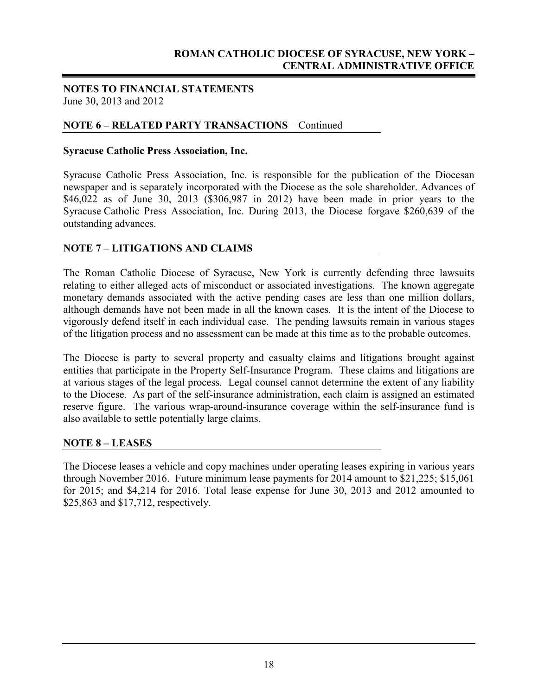#### **NOTES TO FINANCIAL STATEMENTS** June 30, 2013 and 2012

#### **NOTE 6 – RELATED PARTY TRANSACTIONS** – Continued

#### **Syracuse Catholic Press Association, Inc.**

Syracuse Catholic Press Association, Inc. is responsible for the publication of the Diocesan newspaper and is separately incorporated with the Diocese as the sole shareholder. Advances of \$46,022 as of June 30, 2013 (\$306,987 in 2012) have been made in prior years to the Syracuse Catholic Press Association, Inc. During 2013, the Diocese forgave \$260,639 of the outstanding advances.

#### **NOTE 7 – LITIGATIONS AND CLAIMS**

The Roman Catholic Diocese of Syracuse, New York is currently defending three lawsuits relating to either alleged acts of misconduct or associated investigations. The known aggregate monetary demands associated with the active pending cases are less than one million dollars, although demands have not been made in all the known cases. It is the intent of the Diocese to vigorously defend itself in each individual case. The pending lawsuits remain in various stages of the litigation process and no assessment can be made at this time as to the probable outcomes.

The Diocese is party to several property and casualty claims and litigations brought against entities that participate in the Property Self-Insurance Program. These claims and litigations are at various stages of the legal process. Legal counsel cannot determine the extent of any liability to the Diocese. As part of the self-insurance administration, each claim is assigned an estimated reserve figure. The various wrap-around-insurance coverage within the self-insurance fund is also available to settle potentially large claims.

#### **NOTE 8 – LEASES**

The Diocese leases a vehicle and copy machines under operating leases expiring in various years through November 2016. Future minimum lease payments for 2014 amount to \$21,225; \$15,061 for 2015; and \$4,214 for 2016. Total lease expense for June 30, 2013 and 2012 amounted to \$25,863 and \$17,712, respectively.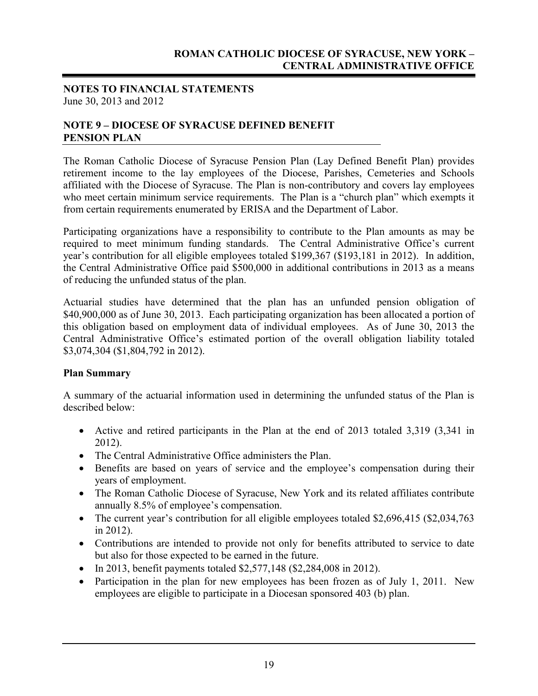#### **NOTES TO FINANCIAL STATEMENTS** June 30, 2013 and 2012

#### **NOTE 9 – DIOCESE OF SYRACUSE DEFINED BENEFIT PENSION PLAN**

The Roman Catholic Diocese of Syracuse Pension Plan (Lay Defined Benefit Plan) provides retirement income to the lay employees of the Diocese, Parishes, Cemeteries and Schools affiliated with the Diocese of Syracuse. The Plan is non-contributory and covers lay employees who meet certain minimum service requirements. The Plan is a "church plan" which exempts it from certain requirements enumerated by ERISA and the Department of Labor.

Participating organizations have a responsibility to contribute to the Plan amounts as may be required to meet minimum funding standards. The Central Administrative Office's current year's contribution for all eligible employees totaled \$199,367 (\$193,181 in 2012). In addition, the Central Administrative Office paid \$500,000 in additional contributions in 2013 as a means of reducing the unfunded status of the plan.

Actuarial studies have determined that the plan has an unfunded pension obligation of \$40,900,000 as of June 30, 2013. Each participating organization has been allocated a portion of this obligation based on employment data of individual employees. As of June 30, 2013 the Central Administrative Office's estimated portion of the overall obligation liability totaled \$3,074,304 (\$1,804,792 in 2012).

#### **Plan Summary**

A summary of the actuarial information used in determining the unfunded status of the Plan is described below:

- Active and retired participants in the Plan at the end of 2013 totaled 3,319 (3,341 in 2012).
- The Central Administrative Office administers the Plan.
- Benefits are based on years of service and the employee's compensation during their years of employment.
- The Roman Catholic Diocese of Syracuse, New York and its related affiliates contribute annually 8.5% of employee's compensation.
- The current year's contribution for all eligible employees totaled \$2,696,415 (\$2,034,763) in 2012).
- Contributions are intended to provide not only for benefits attributed to service to date but also for those expected to be earned in the future.
- In 2013, benefit payments totaled  $$2,577,148$   $$2,284,008$  in 2012).
- Participation in the plan for new employees has been frozen as of July 1, 2011. New employees are eligible to participate in a Diocesan sponsored 403 (b) plan.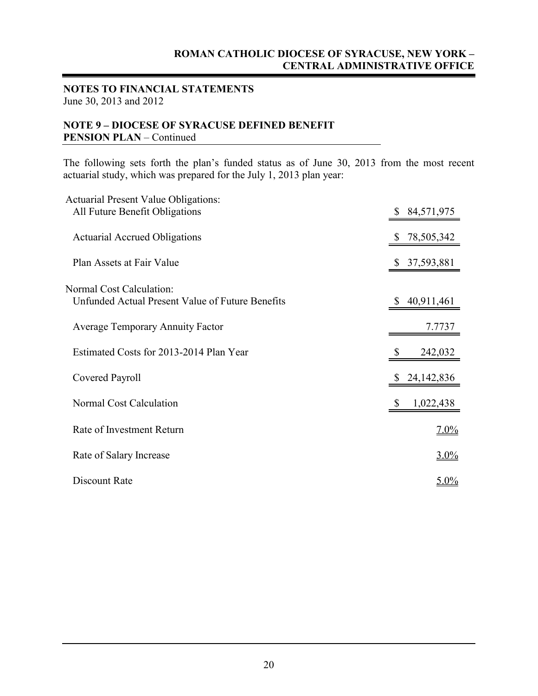#### **NOTES TO FINANCIAL STATEMENTS** June 30, 2013 and 2012

#### **NOTE 9 – DIOCESE OF SYRACUSE DEFINED BENEFIT PENSION PLAN** – Continued

The following sets forth the plan's funded status as of June 30, 2013 from the most recent actuarial study, which was prepared for the July 1, 2013 plan year:

| <b>Actuarial Present Value Obligations:</b><br>All Future Benefit Obligations | 84,571,975       |
|-------------------------------------------------------------------------------|------------------|
| <b>Actuarial Accrued Obligations</b>                                          | 78,505,342<br>S  |
| Plan Assets at Fair Value                                                     | 37,593,881<br>S. |
| Normal Cost Calculation:<br>Unfunded Actual Present Value of Future Benefits  | 40,911,461       |
| <b>Average Temporary Annuity Factor</b>                                       | 7.7737           |
| Estimated Costs for 2013-2014 Plan Year                                       | 242,032<br>\$    |
| Covered Payroll                                                               | 24, 142, 836     |
| Normal Cost Calculation                                                       | 1,022,438<br>S   |
| Rate of Investment Return                                                     | 7.0%             |
| Rate of Salary Increase                                                       | $3.0\%$          |
| Discount Rate                                                                 | $5.0\%$          |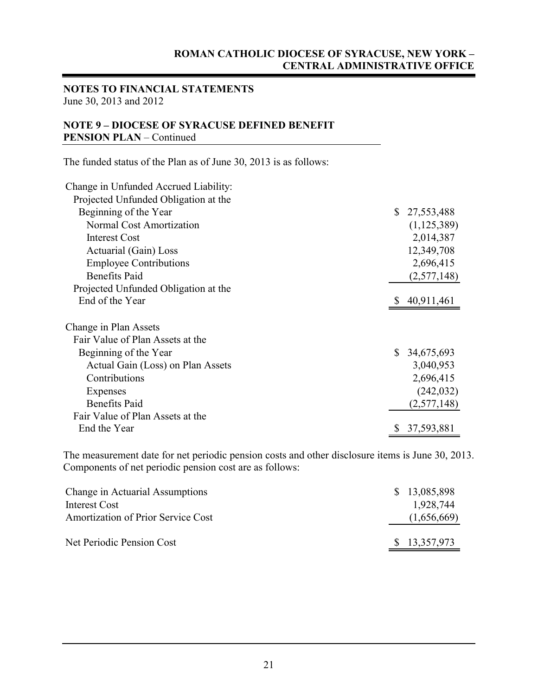#### **NOTES TO FINANCIAL STATEMENTS** June 30, 2013 and 2012

#### **NOTE 9 – DIOCESE OF SYRACUSE DEFINED BENEFIT PENSION PLAN** – Continued

The funded status of the Plan as of June 30, 2013 is as follows:

| Change in Unfunded Accrued Liability: |                            |
|---------------------------------------|----------------------------|
| Projected Unfunded Obligation at the  |                            |
| Beginning of the Year                 | $\mathbb{S}$<br>27,553,488 |
| Normal Cost Amortization              | (1, 125, 389)              |
| <b>Interest Cost</b>                  | 2,014,387                  |
| Actuarial (Gain) Loss                 | 12,349,708                 |
| <b>Employee Contributions</b>         | 2,696,415                  |
| <b>Benefits Paid</b>                  | (2,577,148)                |
| Projected Unfunded Obligation at the  |                            |
| End of the Year                       | 40,911,461                 |
|                                       |                            |
| Change in Plan Assets                 |                            |
| Fair Value of Plan Assets at the      |                            |
| Beginning of the Year                 | \$34,675,693               |
| Actual Gain (Loss) on Plan Assets     | 3,040,953                  |
| Contributions                         | 2,696,415                  |
| Expenses                              | (242, 032)                 |
| <b>Benefits Paid</b>                  | (2,577,148)                |
| Fair Value of Plan Assets at the      |                            |
| End the Year                          | 37,593,881                 |

The measurement date for net periodic pension costs and other disclosure items is June 30, 2013. Components of net periodic pension cost are as follows:

| Change in Actuarial Assumptions<br>Interest Cost<br><b>Amortization of Prior Service Cost</b> | \$13,085,898<br>1,928,744<br>(1,656,669) |
|-----------------------------------------------------------------------------------------------|------------------------------------------|
| Net Periodic Pension Cost                                                                     | \$13,357,973                             |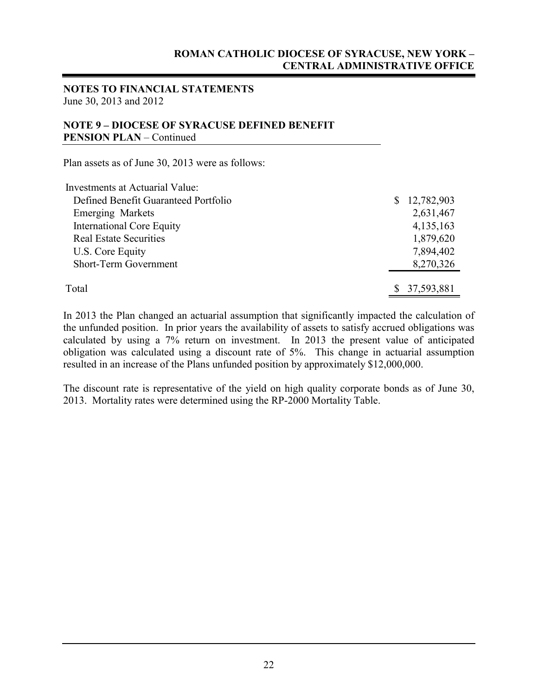#### **NOTES TO FINANCIAL STATEMENTS** June 30, 2013 and 2012

#### **NOTE 9 – DIOCESE OF SYRACUSE DEFINED BENEFIT PENSION PLAN** – Continued

Plan assets as of June 30, 2013 were as follows:

| Investments at Actuarial Value:      |    |              |
|--------------------------------------|----|--------------|
| Defined Benefit Guaranteed Portfolio | S. | 12,782,903   |
| Emerging Markets                     |    | 2,631,467    |
| <b>International Core Equity</b>     |    | 4,135,163    |
| <b>Real Estate Securities</b>        |    | 1,879,620    |
| U.S. Core Equity                     |    | 7,894,402    |
| Short-Term Government                |    | 8,270,326    |
|                                      |    |              |
| Total                                |    | \$37,593,881 |

In 2013 the Plan changed an actuarial assumption that significantly impacted the calculation of the unfunded position. In prior years the availability of assets to satisfy accrued obligations was calculated by using a 7% return on investment. In 2013 the present value of anticipated obligation was calculated using a discount rate of 5%. This change in actuarial assumption resulted in an increase of the Plans unfunded position by approximately \$12,000,000.

The discount rate is representative of the yield on high quality corporate bonds as of June 30, 2013. Mortality rates were determined using the RP-2000 Mortality Table.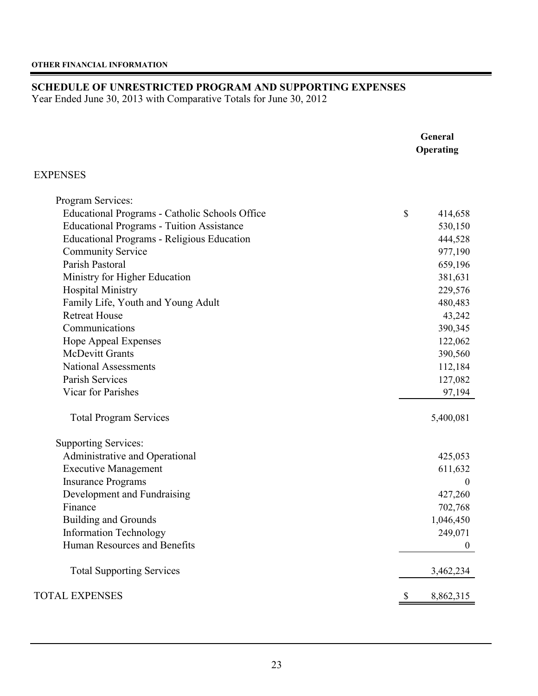## **SCHEDULE OF UNRESTRICTED PROGRAM AND SUPPORTING EXPENSES**

Year Ended June 30, 2013 with Comparative Totals for June 30, 2012

|                                                   | General<br>Operating |
|---------------------------------------------------|----------------------|
| <b>EXPENSES</b>                                   |                      |
| Program Services:                                 |                      |
| Educational Programs - Catholic Schools Office    | \$<br>414,658        |
| <b>Educational Programs - Tuition Assistance</b>  | 530,150              |
| <b>Educational Programs - Religious Education</b> | 444,528              |
| <b>Community Service</b>                          | 977,190              |
| Parish Pastoral                                   | 659,196              |
| Ministry for Higher Education                     | 381,631              |
| <b>Hospital Ministry</b>                          | 229,576              |
| Family Life, Youth and Young Adult                | 480,483              |
| <b>Retreat House</b>                              | 43,242               |
| Communications                                    | 390,345              |
| Hope Appeal Expenses                              | 122,062              |
| <b>McDevitt Grants</b>                            | 390,560              |
| <b>National Assessments</b>                       | 112,184              |
| Parish Services                                   | 127,082              |
| Vicar for Parishes                                | 97,194               |
| <b>Total Program Services</b>                     | 5,400,081            |
| <b>Supporting Services:</b>                       |                      |
| Administrative and Operational                    | 425,053              |
| <b>Executive Management</b>                       | 611,632              |
| <b>Insurance Programs</b>                         | $\theta$             |
| Development and Fundraising                       | 427,260              |
| Finance                                           | 702,768              |
| Building and Grounds                              | 1,046,450            |
| <b>Information Technology</b>                     | 249,071              |
| Human Resources and Benefits                      | $\overline{0}$       |
| <b>Total Supporting Services</b>                  | 3,462,234            |
| <b>TOTAL EXPENSES</b>                             | 8,862,315            |